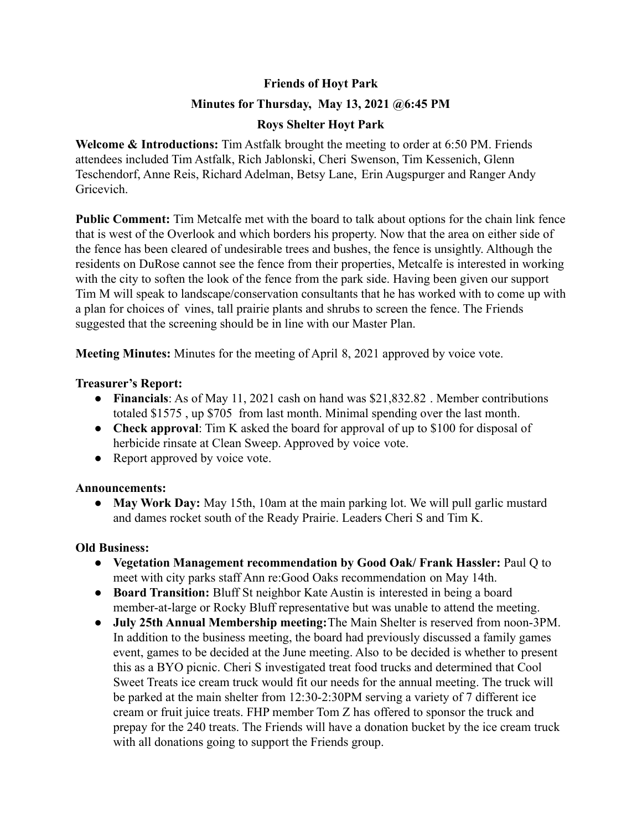# **Friends of Hoyt Park**

# **Minutes for Thursday, May 13, 2021 @6:45 PM**

# **Roys Shelter Hoyt Park**

**Welcome & Introductions:** Tim Astfalk brought the meeting to order at 6:50 PM. Friends attendees included Tim Astfalk, Rich Jablonski, Cheri Swenson, Tim Kessenich, Glenn Teschendorf, Anne Reis, Richard Adelman, Betsy Lane, Erin Augspurger and Ranger Andy Gricevich.

**Public Comment:** Tim Metcalfe met with the board to talk about options for the chain link fence that is west of the Overlook and which borders his property. Now that the area on either side of the fence has been cleared of undesirable trees and bushes, the fence is unsightly. Although the residents on DuRose cannot see the fence from their properties, Metcalfe is interested in working with the city to soften the look of the fence from the park side. Having been given our support Tim M will speak to landscape/conservation consultants that he has worked with to come up with a plan for choices of vines, tall prairie plants and shrubs to screen the fence. The Friends suggested that the screening should be in line with our Master Plan.

**Meeting Minutes:** Minutes for the meeting of April 8, 2021 approved by voice vote.

#### **Treasurer's Report:**

- **Financials**: As of May 11, 2021 cash on hand was \$21,832.82 . Member contributions totaled \$1575 , up \$705 from last month. Minimal spending over the last month.
- **Check approval**: Tim K asked the board for approval of up to \$100 for disposal of herbicide rinsate at Clean Sweep. Approved by voice vote.
- Report approved by voice vote.

# **Announcements:**

**● May Work Day:** May 15th, 10am at the main parking lot. We will pull garlic mustard and dames rocket south of the Ready Prairie. Leaders Cheri S and Tim K.

# **Old Business:**

- **● Vegetation Management recommendation by Good Oak/ Frank Hassler:** Paul Q to meet with city parks staff Ann re:Good Oaks recommendation on May 14th.
- **● Board Transition:** Bluff St neighbor Kate Austin is interested in being a board member-at-large or Rocky Bluff representative but was unable to attend the meeting.
- **● July 25th Annual Membership meeting:**The Main Shelter is reserved from noon-3PM. In addition to the business meeting, the board had previously discussed a family games event, games to be decided at the June meeting. Also to be decided is whether to present this as a BYO picnic. Cheri S investigated treat food trucks and determined that Cool Sweet Treats ice cream truck would fit our needs for the annual meeting. The truck will be parked at the main shelter from 12:30-2:30PM serving a variety of 7 different ice cream or fruit juice treats. FHP member Tom Z has offered to sponsor the truck and prepay for the 240 treats. The Friends will have a donation bucket by the ice cream truck with all donations going to support the Friends group.